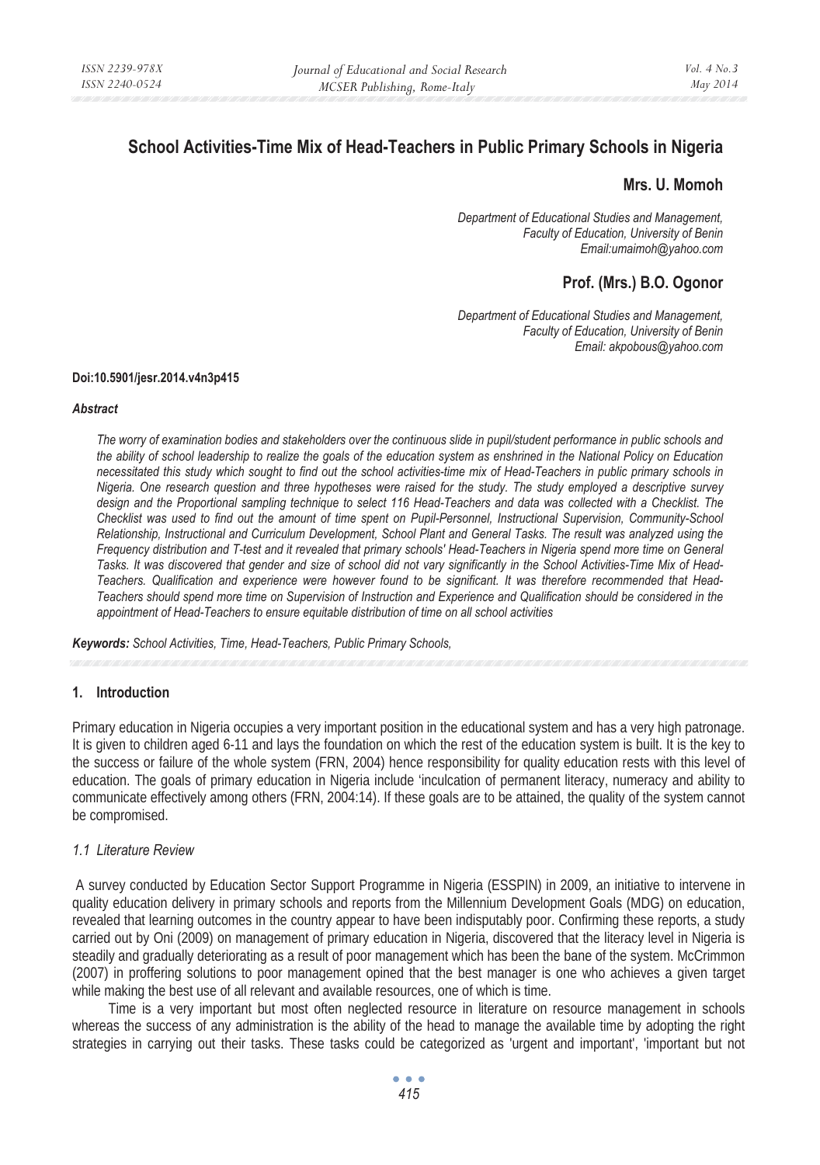# **School Activities-Time Mix of Head-Teachers in Public Primary Schools in Nigeria**

## **Mrs. U. Momoh**

*Department of Educational Studies and Management, Faculty of Education, University of Benin Email:umaimoh@yahoo.com* 

## **Prof. (Mrs.) B.O. Ogonor**

*Department of Educational Studies and Management, Faculty of Education, University of Benin Email: akpobous@yahoo.com* 

#### **Doi:10.5901/jesr.2014.v4n3p415**

#### *Abstract*

*The worry of examination bodies and stakeholders over the continuous slide in pupil/student performance in public schools and the ability of school leadership to realize the goals of the education system as enshrined in the National Policy on Education necessitated this study which sought to find out the school activities-time mix of Head-Teachers in public primary schools in Nigeria. One research question and three hypotheses were raised for the study. The study employed a descriptive survey design and the Proportional sampling technique to select 116 Head-Teachers and data was collected with a Checklist. The Checklist was used to find out the amount of time spent on Pupil-Personnel, Instructional Supervision, Community-School Relationship, Instructional and Curriculum Development, School Plant and General Tasks. The result was analyzed using the Frequency distribution and T-test and it revealed that primary schools' Head-Teachers in Nigeria spend more time on General Tasks. It was discovered that gender and size of school did not vary significantly in the School Activities-Time Mix of Head-Teachers. Qualification and experience were however found to be significant. It was therefore recommended that Head-Teachers should spend more time on Supervision of Instruction and Experience and Qualification should be considered in the appointment of Head-Teachers to ensure equitable distribution of time on all school activities* 

*Keywords: School Activities, Time, Head-Teachers, Public Primary Schools,* 

#### **1. Introduction**

Primary education in Nigeria occupies a very important position in the educational system and has a very high patronage. It is given to children aged 6-11 and lays the foundation on which the rest of the education system is built. It is the key to the success or failure of the whole system (FRN, 2004) hence responsibility for quality education rests with this level of education. The goals of primary education in Nigeria include 'inculcation of permanent literacy, numeracy and ability to communicate effectively among others (FRN, 2004:14). If these goals are to be attained, the quality of the system cannot be compromised.

#### *1.1 Literature Review*

 A survey conducted by Education Sector Support Programme in Nigeria (ESSPIN) in 2009, an initiative to intervene in quality education delivery in primary schools and reports from the Millennium Development Goals (MDG) on education, revealed that learning outcomes in the country appear to have been indisputably poor. Confirming these reports, a study carried out by Oni (2009) on management of primary education in Nigeria, discovered that the literacy level in Nigeria is steadily and gradually deteriorating as a result of poor management which has been the bane of the system. McCrimmon (2007) in proffering solutions to poor management opined that the best manager is one who achieves a given target while making the best use of all relevant and available resources, one of which is time.

Time is a very important but most often neglected resource in literature on resource management in schools whereas the success of any administration is the ability of the head to manage the available time by adopting the right strategies in carrying out their tasks. These tasks could be categorized as 'urgent and important', 'important but not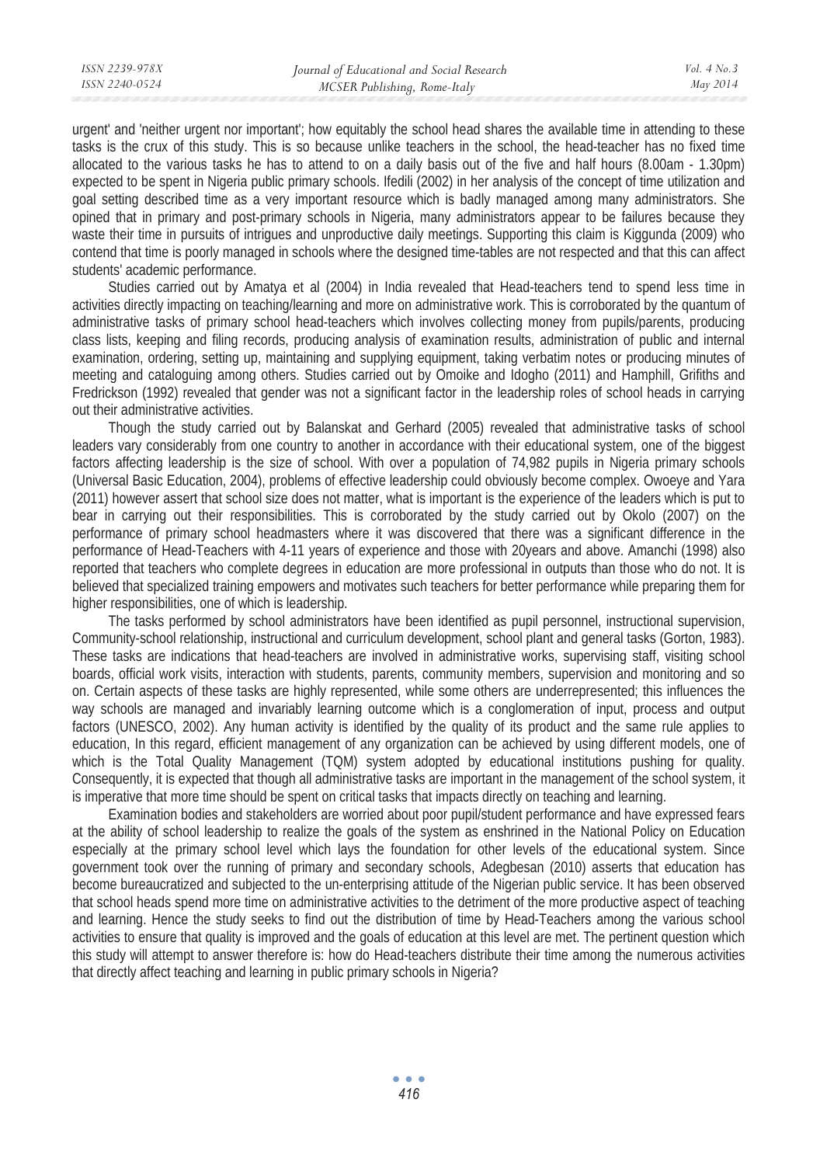urgent' and 'neither urgent nor important'; how equitably the school head shares the available time in attending to these tasks is the crux of this study. This is so because unlike teachers in the school, the head-teacher has no fixed time allocated to the various tasks he has to attend to on a daily basis out of the five and half hours (8.00am - 1.30pm) expected to be spent in Nigeria public primary schools. Ifedili (2002) in her analysis of the concept of time utilization and goal setting described time as a very important resource which is badly managed among many administrators. She opined that in primary and post-primary schools in Nigeria, many administrators appear to be failures because they waste their time in pursuits of intrigues and unproductive daily meetings. Supporting this claim is Kiggunda (2009) who contend that time is poorly managed in schools where the designed time-tables are not respected and that this can affect students' academic performance.

Studies carried out by Amatya et al (2004) in India revealed that Head-teachers tend to spend less time in activities directly impacting on teaching/learning and more on administrative work. This is corroborated by the quantum of administrative tasks of primary school head-teachers which involves collecting money from pupils/parents, producing class lists, keeping and filing records, producing analysis of examination results, administration of public and internal examination, ordering, setting up, maintaining and supplying equipment, taking verbatim notes or producing minutes of meeting and cataloguing among others. Studies carried out by Omoike and Idogho (2011) and Hamphill, Grifiths and Fredrickson (1992) revealed that gender was not a significant factor in the leadership roles of school heads in carrying out their administrative activities.

Though the study carried out by Balanskat and Gerhard (2005) revealed that administrative tasks of school leaders vary considerably from one country to another in accordance with their educational system, one of the biggest factors affecting leadership is the size of school. With over a population of 74,982 pupils in Nigeria primary schools (Universal Basic Education, 2004), problems of effective leadership could obviously become complex. Owoeye and Yara (2011) however assert that school size does not matter, what is important is the experience of the leaders which is put to bear in carrying out their responsibilities. This is corroborated by the study carried out by Okolo (2007) on the performance of primary school headmasters where it was discovered that there was a significant difference in the performance of Head-Teachers with 4-11 years of experience and those with 20years and above. Amanchi (1998) also reported that teachers who complete degrees in education are more professional in outputs than those who do not. It is believed that specialized training empowers and motivates such teachers for better performance while preparing them for higher responsibilities, one of which is leadership.

The tasks performed by school administrators have been identified as pupil personnel, instructional supervision, Community-school relationship, instructional and curriculum development, school plant and general tasks (Gorton, 1983). These tasks are indications that head-teachers are involved in administrative works, supervising staff, visiting school boards, official work visits, interaction with students, parents, community members, supervision and monitoring and so on. Certain aspects of these tasks are highly represented, while some others are underrepresented; this influences the way schools are managed and invariably learning outcome which is a conglomeration of input, process and output factors (UNESCO, 2002). Any human activity is identified by the quality of its product and the same rule applies to education, In this regard, efficient management of any organization can be achieved by using different models, one of which is the Total Quality Management (TQM) system adopted by educational institutions pushing for quality. Consequently, it is expected that though all administrative tasks are important in the management of the school system, it is imperative that more time should be spent on critical tasks that impacts directly on teaching and learning.

Examination bodies and stakeholders are worried about poor pupil/student performance and have expressed fears at the ability of school leadership to realize the goals of the system as enshrined in the National Policy on Education especially at the primary school level which lays the foundation for other levels of the educational system. Since government took over the running of primary and secondary schools, Adegbesan (2010) asserts that education has become bureaucratized and subjected to the un-enterprising attitude of the Nigerian public service. It has been observed that school heads spend more time on administrative activities to the detriment of the more productive aspect of teaching and learning. Hence the study seeks to find out the distribution of time by Head-Teachers among the various school activities to ensure that quality is improved and the goals of education at this level are met. The pertinent question which this study will attempt to answer therefore is: how do Head-teachers distribute their time among the numerous activities that directly affect teaching and learning in public primary schools in Nigeria?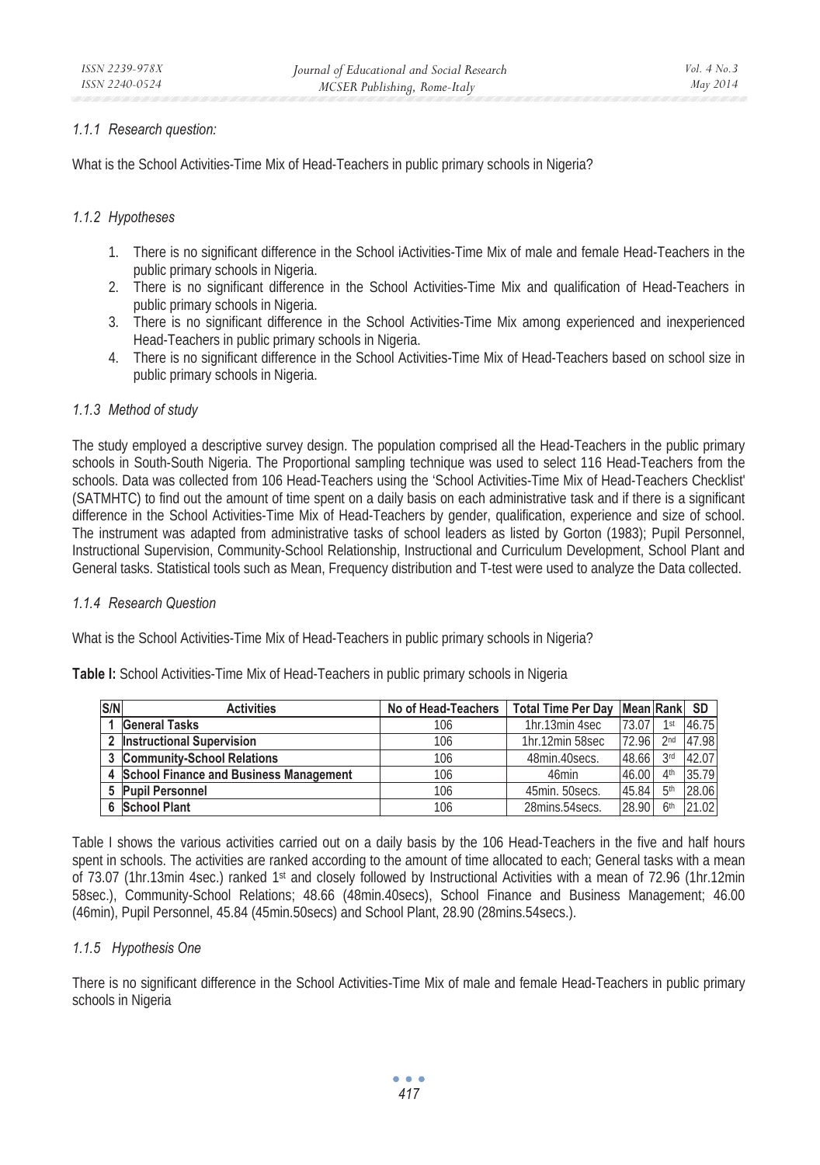### *1.1.1 Research question:*

What is the School Activities-Time Mix of Head-Teachers in public primary schools in Nigeria?

## *1.1.2 Hypotheses*

- 1. There is no significant difference in the School iActivities-Time Mix of male and female Head-Teachers in the public primary schools in Nigeria.
- 2. There is no significant difference in the School Activities-Time Mix and qualification of Head-Teachers in public primary schools in Nigeria.
- 3. There is no significant difference in the School Activities-Time Mix among experienced and inexperienced Head-Teachers in public primary schools in Nigeria.
- 4. There is no significant difference in the School Activities-Time Mix of Head-Teachers based on school size in public primary schools in Nigeria.

## *1.1.3 Method of study*

The study employed a descriptive survey design. The population comprised all the Head-Teachers in the public primary schools in South-South Nigeria. The Proportional sampling technique was used to select 116 Head-Teachers from the schools. Data was collected from 106 Head-Teachers using the 'School Activities-Time Mix of Head-Teachers Checklist' (SATMHTC) to find out the amount of time spent on a daily basis on each administrative task and if there is a significant difference in the School Activities-Time Mix of Head-Teachers by gender, qualification, experience and size of school. The instrument was adapted from administrative tasks of school leaders as listed by Gorton (1983); Pupil Personnel, Instructional Supervision, Community-School Relationship, Instructional and Curriculum Development, School Plant and General tasks. Statistical tools such as Mean, Frequency distribution and T-test were used to analyze the Data collected.

#### *1.1.4 Research Question*

What is the School Activities-Time Mix of Head-Teachers in public primary schools in Nigeria?

| S/N | <b>Activities</b>                             | No of Head-Teachers | Total Time Per Day   Mean Rank   SD |       |                 |       |
|-----|-----------------------------------------------|---------------------|-------------------------------------|-------|-----------------|-------|
|     | <b>General Tasks</b>                          | 106                 | 1hr.13min 4sec                      | 73.07 | 1st             | 46.75 |
| າ   | <b>Instructional Supervision</b>              | 106                 | 1hr.12min 58sec                     | 72.96 | 2nd             | 47.98 |
|     | <b>Community-School Relations</b>             | 106                 | 48min.40 secs.                      | 48.66 | 3rd             | 42.07 |
|     | <b>School Finance and Business Management</b> | 106                 | 46min                               | 46.00 | $\Delta$ th     | 35.79 |
|     | <b>Pupil Personnel</b>                        | 106                 | 45min. 50 secs.                     | 45.84 | 5 <sup>th</sup> | 28.06 |
|     | <b>School Plant</b>                           | 106                 | 28mins.54 secs.                     | 28.90 | 6 <sup>th</sup> | 21.02 |

**Table I:** School Activities-Time Mix of Head-Teachers in public primary schools in Nigeria

Table I shows the various activities carried out on a daily basis by the 106 Head-Teachers in the five and half hours spent in schools. The activities are ranked according to the amount of time allocated to each; General tasks with a mean of 73.07 (1hr.13min 4sec.) ranked 1st and closely followed by Instructional Activities with a mean of 72.96 (1hr.12min 58sec.), Community-School Relations; 48.66 (48min.40secs), School Finance and Business Management; 46.00 (46min), Pupil Personnel, 45.84 (45min.50secs) and School Plant, 28.90 (28mins.54secs.).

#### *1.1.5 Hypothesis One*

There is no significant difference in the School Activities-Time Mix of male and female Head-Teachers in public primary schools in Nigeria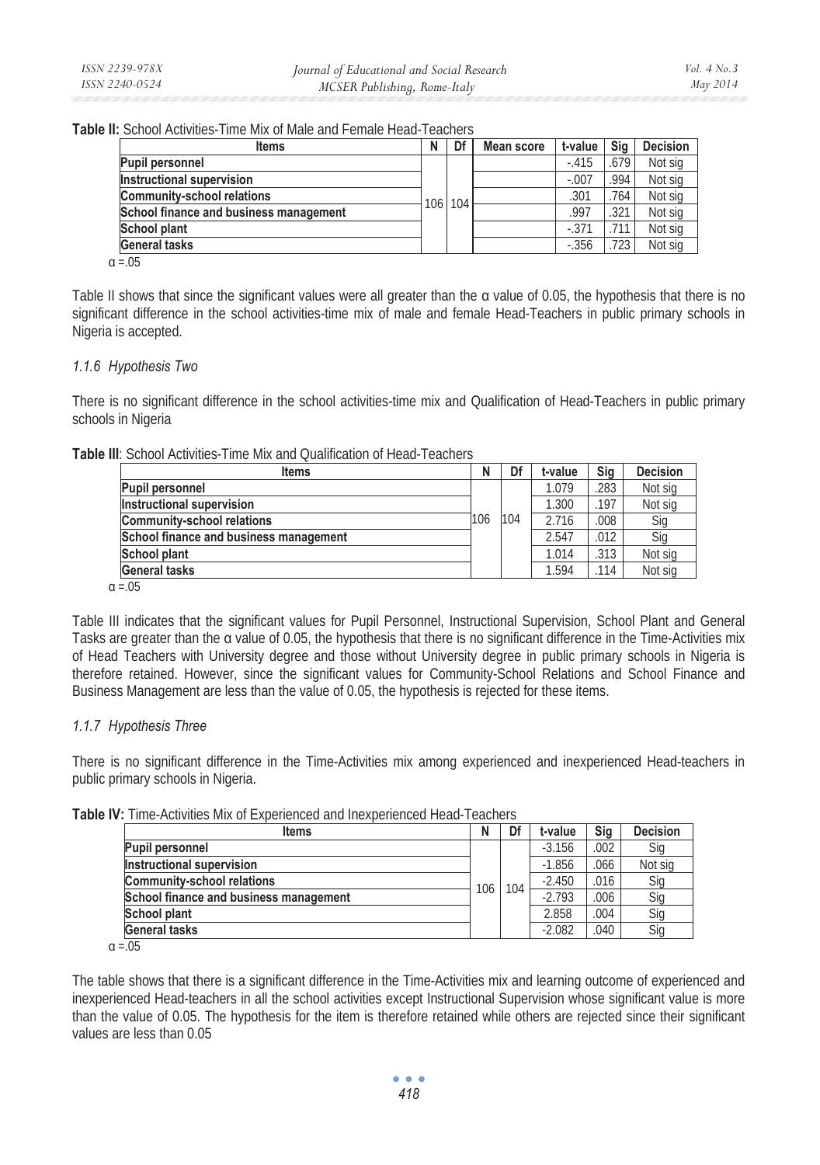**Table II:** School Activities-Time Mix of Male and Female Head-Teachers

| <b>Items</b>                           | Ν | Df      | <b>Mean score</b> | t-value | Sia  | <b>Decision</b> |
|----------------------------------------|---|---------|-------------------|---------|------|-----------------|
| Pupil personnel                        |   |         |                   | $-.415$ | .679 | Not sig         |
| Instructional supervision              |   |         |                   | $-.007$ | .994 | Not sig         |
| <b>Community-school relations</b>      |   | 106 104 |                   | .301    | .764 | Not sig         |
| School finance and business management |   |         |                   | .997    | .321 | Not sig         |
| School plant                           |   |         |                   | $-371$  | 711  | Not sig         |
| <b>General tasks</b>                   |   |         |                   | $-.356$ | 723  | Not sig         |
| $\sim$ $\cap$                          |   |         |                   |         |      |                 |

 $\alpha = .05$ 

Table II shows that since the significant values were all greater than the  $\alpha$  value of 0.05, the hypothesis that there is no significant difference in the school activities-time mix of male and female Head-Teachers in public primary schools in Nigeria is accepted.

## *1.1.6 Hypothesis Two*

There is no significant difference in the school activities-time mix and Qualification of Head-Teachers in public primary schools in Nigeria

**Table III**: School Activities-Time Mix and Qualification of Head-Teachers

| <b>Items</b>                           | N   | Df  | t-value | Sig  | <b>Decision</b> |
|----------------------------------------|-----|-----|---------|------|-----------------|
| <b>Pupil personnel</b>                 |     |     | 1.079   | .283 | Not sig         |
| Instructional supervision              |     |     | 1.300   | .197 | Not sig         |
| <b>Community-school relations</b>      | 106 | 104 | 2.716   | .008 | Sig             |
| School finance and business management |     |     | 2.547   | .012 | Sig             |
| <b>School plant</b>                    |     |     | 1.014   | .313 | Not sig         |
| General tasks                          |     |     | 1.594   | .114 | Not sig         |
| $\alpha = 0.5$                         |     |     |         |      |                 |

Table III indicates that the significant values for Pupil Personnel, Instructional Supervision, School Plant and General Tasks are greater than the  $\alpha$  value of 0.05, the hypothesis that there is no significant difference in the Time-Activities mix of Head Teachers with University degree and those without University degree in public primary schools in Nigeria is therefore retained. However, since the significant values for Community-School Relations and School Finance and Business Management are less than the value of 0.05, the hypothesis is rejected for these items.

## *1.1.7 Hypothesis Three*

There is no significant difference in the Time-Activities mix among experienced and inexperienced Head-teachers in public primary schools in Nigeria.

|  |  | Table IV: Time-Activities Mix of Experienced and Inexperienced Head-Teachers |  |  |  |  |  |  |
|--|--|------------------------------------------------------------------------------|--|--|--|--|--|--|
|--|--|------------------------------------------------------------------------------|--|--|--|--|--|--|

|                                        | ltems | Ν   | Df  | t-value  | Sig  | <b>Decision</b> |
|----------------------------------------|-------|-----|-----|----------|------|-----------------|
| <b>Pupil personnel</b>                 |       |     |     | $-3.156$ | .002 | Sig             |
| Instructional supervision              |       |     |     | $-1.856$ | 066  | Not sig         |
| <b>Community-school relations</b>      |       | 106 | 104 | $-2.450$ | .016 | Sig             |
| School finance and business management |       |     |     | $-2.793$ | 006  | Sig             |
| <b>School plant</b>                    |       |     |     | 2.858    | .004 | Sig             |
| <b>General tasks</b>                   |       |     |     | $-2.082$ | 040  | Sia             |
|                                        |       |     |     |          |      |                 |

 $\alpha = .05$ 

The table shows that there is a significant difference in the Time-Activities mix and learning outcome of experienced and inexperienced Head-teachers in all the school activities except Instructional Supervision whose significant value is more than the value of 0.05. The hypothesis for the item is therefore retained while others are rejected since their significant values are less than 0.05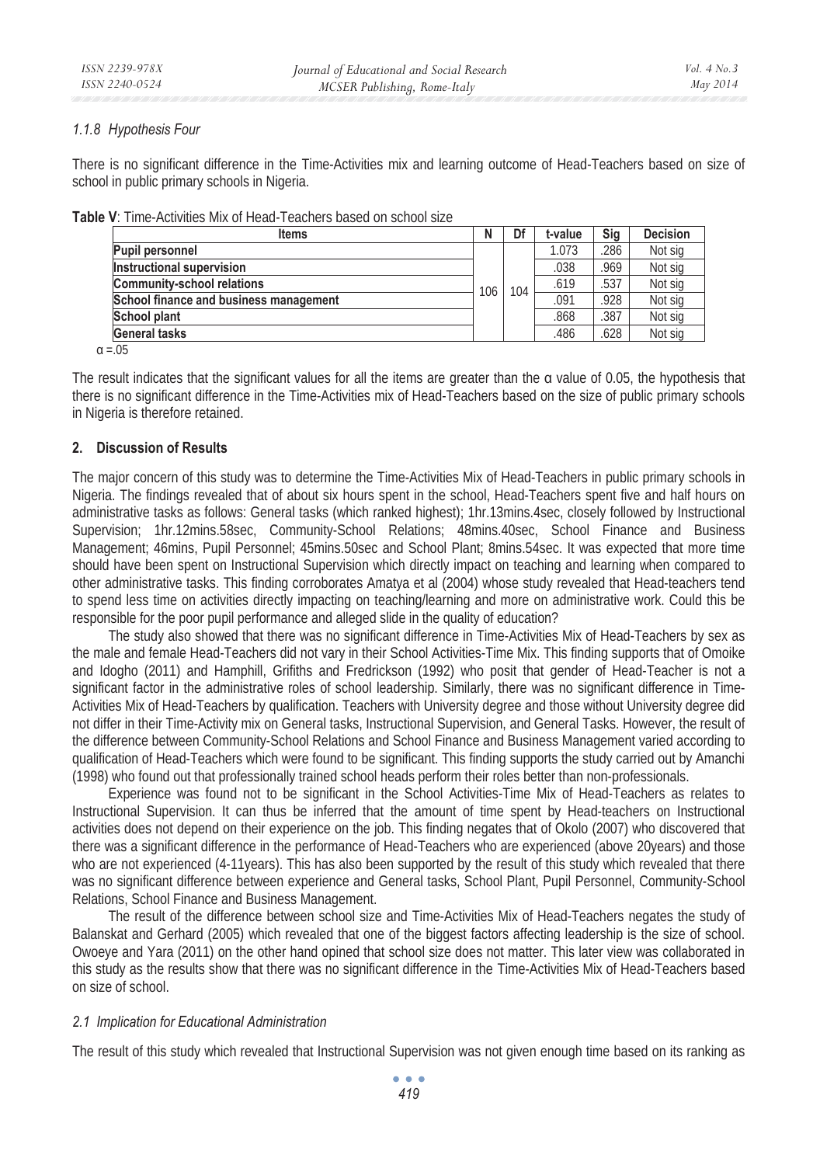## *1.1.8 Hypothesis Four*

There is no significant difference in the Time-Activities mix and learning outcome of Head-Teachers based on size of school in public primary schools in Nigeria.

|  | <b>Table V</b> : Time-Activities Mix of Head-Teachers based on school size |  |  |  |
|--|----------------------------------------------------------------------------|--|--|--|
|  |                                                                            |  |  |  |

| <b>Items</b>                           | N   | Df  | t-value | Sig  | <b>Decision</b> |
|----------------------------------------|-----|-----|---------|------|-----------------|
| <b>Pupil personnel</b>                 |     |     | 1.073   | .286 | Not sia         |
| Instructional supervision              |     |     | .038    | .969 | Not sig         |
| <b>Community-school relations</b>      | 106 | 104 | .619    | .537 | Not sia         |
| School finance and business management |     |     | .091    | .928 | Not sia         |
| <b>School plant</b>                    |     |     | .868    | .387 | Not sig         |
| <b>General tasks</b>                   |     |     | .486    | .628 | Not sig         |
| $\sim$ $\sim$                          |     |     |         |      |                 |

 $\alpha = 0.5$ 

The result indicates that the significant values for all the items are greater than the  $\alpha$  value of 0.05, the hypothesis that there is no significant difference in the Time-Activities mix of Head-Teachers based on the size of public primary schools in Nigeria is therefore retained.

## **2. Discussion of Results**

The major concern of this study was to determine the Time-Activities Mix of Head-Teachers in public primary schools in Nigeria. The findings revealed that of about six hours spent in the school, Head-Teachers spent five and half hours on administrative tasks as follows: General tasks (which ranked highest); 1hr.13mins.4sec, closely followed by Instructional Supervision; 1hr.12mins.58sec, Community-School Relations; 48mins.40sec, School Finance and Business Management; 46mins, Pupil Personnel; 45mins.50sec and School Plant; 8mins.54sec. It was expected that more time should have been spent on Instructional Supervision which directly impact on teaching and learning when compared to other administrative tasks. This finding corroborates Amatya et al (2004) whose study revealed that Head-teachers tend to spend less time on activities directly impacting on teaching/learning and more on administrative work. Could this be responsible for the poor pupil performance and alleged slide in the quality of education?

The study also showed that there was no significant difference in Time-Activities Mix of Head-Teachers by sex as the male and female Head-Teachers did not vary in their School Activities-Time Mix. This finding supports that of Omoike and Idogho (2011) and Hamphill, Grifiths and Fredrickson (1992) who posit that gender of Head-Teacher is not a significant factor in the administrative roles of school leadership. Similarly, there was no significant difference in Time-Activities Mix of Head-Teachers by qualification. Teachers with University degree and those without University degree did not differ in their Time-Activity mix on General tasks, Instructional Supervision, and General Tasks. However, the result of the difference between Community-School Relations and School Finance and Business Management varied according to qualification of Head-Teachers which were found to be significant. This finding supports the study carried out by Amanchi (1998) who found out that professionally trained school heads perform their roles better than non-professionals.

Experience was found not to be significant in the School Activities-Time Mix of Head-Teachers as relates to Instructional Supervision. It can thus be inferred that the amount of time spent by Head-teachers on Instructional activities does not depend on their experience on the job. This finding negates that of Okolo (2007) who discovered that there was a significant difference in the performance of Head-Teachers who are experienced (above 20years) and those who are not experienced (4-11years). This has also been supported by the result of this study which revealed that there was no significant difference between experience and General tasks, School Plant, Pupil Personnel, Community-School Relations, School Finance and Business Management.

The result of the difference between school size and Time-Activities Mix of Head-Teachers negates the study of Balanskat and Gerhard (2005) which revealed that one of the biggest factors affecting leadership is the size of school. Owoeye and Yara (2011) on the other hand opined that school size does not matter. This later view was collaborated in this study as the results show that there was no significant difference in the Time-Activities Mix of Head-Teachers based on size of school.

## *2.1 Implication for Educational Administration*

The result of this study which revealed that Instructional Supervision was not given enough time based on its ranking as